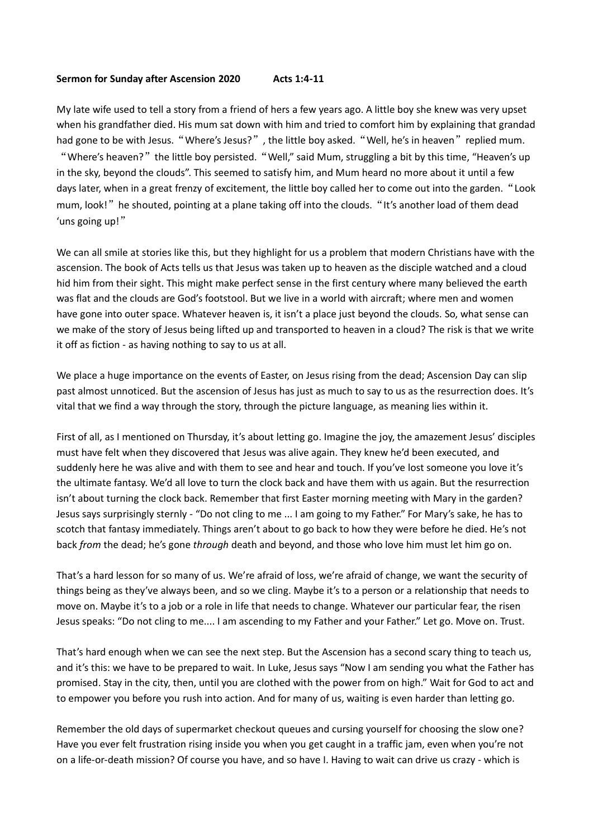## **Sermon for Sunday after Ascension 2020 Acts 1:4-11**

My late wife used to tell a story from a friend of hers a few years ago. A little boy she knew was very upset when his grandfather died. His mum sat down with him and tried to comfort him by explaining that grandad had gone to be with Jesus. "Where's Jesus?", the little boy asked. "Well, he's in heaven" replied mum. "Where's heaven?" the little boy persisted. "Well," said Mum, struggling a bit by this time, "Heaven's up in the sky, beyond the clouds". This seemed to satisfy him, and Mum heard no more about it until a few days later, when in a great frenzy of excitement, the little boy called her to come out into the garden."Look mum, look!" he shouted, pointing at a plane taking off into the clouds. "It's another load of them dead 'uns going up!"

We can all smile at stories like this, but they highlight for us a problem that modern Christians have with the ascension. The book of Acts tells us that Jesus was taken up to heaven as the disciple watched and a cloud hid him from their sight. This might make perfect sense in the first century where many believed the earth was flat and the clouds are God's footstool. But we live in a world with aircraft; where men and women have gone into outer space. Whatever heaven is, it isn't a place just beyond the clouds. So, what sense can we make of the story of Jesus being lifted up and transported to heaven in a cloud? The risk is that we write it off as fiction - as having nothing to say to us at all.

We place a huge importance on the events of Easter, on Jesus rising from the dead; Ascension Day can slip past almost unnoticed. But the ascension of Jesus has just as much to say to us as the resurrection does. It's vital that we find a way through the story, through the picture language, as meaning lies within it.

First of all, as I mentioned on Thursday, it's about letting go. Imagine the joy, the amazement Jesus' disciples must have felt when they discovered that Jesus was alive again. They knew he'd been executed, and suddenly here he was alive and with them to see and hear and touch. If you've lost someone you love it's the ultimate fantasy. We'd all love to turn the clock back and have them with us again. But the resurrection isn't about turning the clock back. Remember that first Easter morning meeting with Mary in the garden? Jesus says surprisingly sternly - "Do not cling to me ... I am going to my Father." For Mary's sake, he has to scotch that fantasy immediately. Things aren't about to go back to how they were before he died. He's not back *from* the dead; he's gone *through* death and beyond, and those who love him must let him go on.

That's a hard lesson for so many of us. We're afraid of loss, we're afraid of change, we want the security of things being as they've always been, and so we cling. Maybe it's to a person or a relationship that needs to move on. Maybe it's to a job or a role in life that needs to change. Whatever our particular fear, the risen Jesus speaks: "Do not cling to me.... I am ascending to my Father and your Father." Let go. Move on. Trust.

That's hard enough when we can see the next step. But the Ascension has a second scary thing to teach us, and it's this: we have to be prepared to wait. In Luke, Jesus says "Now I am sending you what the Father has promised. Stay in the city, then, until you are clothed with the power from on high." Wait for God to act and to empower you before you rush into action. And for many of us, waiting is even harder than letting go.

Remember the old days of supermarket checkout queues and cursing yourself for choosing the slow one? Have you ever felt frustration rising inside you when you get caught in a traffic jam, even when you're not on a life-or-death mission? Of course you have, and so have I. Having to wait can drive us crazy - which is